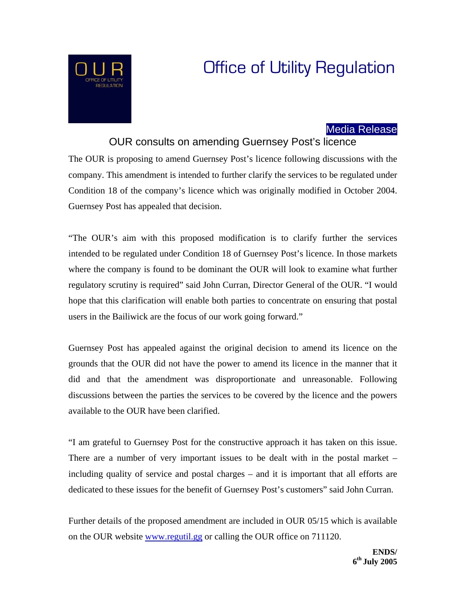# Office of Utility Regulation

# Media Release

## OUR consults on amending Guernsey Post's licence

The OUR is proposing to amend Guernsey Post's licence following discussions with the company. This amendment is intended to further clarify the services to be regulated under Condition 18 of the company's licence which was originally modified in October 2004. Guernsey Post has appealed that decision.

"The OUR's aim with this proposed modification is to clarify further the services intended to be regulated under Condition 18 of Guernsey Post's licence. In those markets where the company is found to be dominant the OUR will look to examine what further regulatory scrutiny is required" said John Curran, Director General of the OUR. "I would hope that this clarification will enable both parties to concentrate on ensuring that postal users in the Bailiwick are the focus of our work going forward."

Guernsey Post has appealed against the original decision to amend its licence on the grounds that the OUR did not have the power to amend its licence in the manner that it did and that the amendment was disproportionate and unreasonable. Following discussions between the parties the services to be covered by the licence and the powers available to the OUR have been clarified.

"I am grateful to Guernsey Post for the constructive approach it has taken on this issue. There are a number of very important issues to be dealt with in the postal market – including quality of service and postal charges – and it is important that all efforts are dedicated to these issues for the benefit of Guernsey Post's customers" said John Curran.

Further details of the proposed amendment are included in OUR 05/15 which is available on the OUR website [www.regutil.gg](http://www.regutil.gg/) or calling the OUR office on 711120.